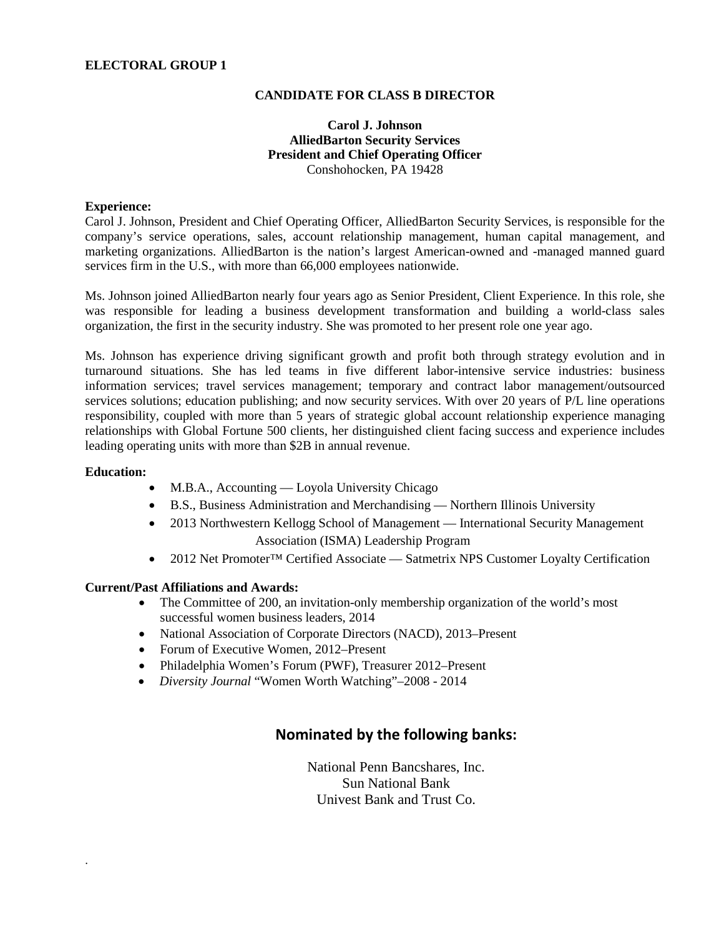### **ELECTORAL GROUP 1**

#### **CANDIDATE FOR CLASS B DIRECTOR**

### **Carol J. Johnson AlliedBarton Security Services President and Chief Operating Officer** Conshohocken, PA 19428

#### **Experience:**

Carol J. Johnson, President and Chief Operating Officer, AlliedBarton Security Services, is responsible for the company's service operations, sales, account relationship management, human capital management, and marketing organizations. AlliedBarton is the nation's largest American-owned and -managed manned guard services firm in the U.S., with more than 66,000 employees nationwide.

Ms. Johnson joined AlliedBarton nearly four years ago as Senior President, Client Experience. In this role, she was responsible for leading a business development transformation and building a world-class sales organization, the first in the security industry. She was promoted to her present role one year ago.

Ms. Johnson has experience driving significant growth and profit both through strategy evolution and in turnaround situations. She has led teams in five different labor-intensive service industries: business information services; travel services management; temporary and contract labor management/outsourced services solutions; education publishing; and now security services. With over 20 years of P/L line operations responsibility, coupled with more than 5 years of strategic global account relationship experience managing relationships with Global Fortune 500 clients, her distinguished client facing success and experience includes leading operating units with more than \$2B in annual revenue.

#### **Education:**

.

- M.B.A., Accounting Loyola University Chicago
- B.S., Business Administration and Merchandising Northern Illinois University
- 2013 Northwestern Kellogg School of Management International Security Management Association (ISMA) Leadership Program
- 2012 Net Promoter™ Certified Associate Satmetrix NPS Customer Loyalty Certification

### **Current/Past Affiliations and Awards:**

- The Committee of 200, an invitation-only membership organization of the world's most successful women business leaders, 2014
- National Association of Corporate Directors (NACD), 2013–Present
- Forum of Executive Women, 2012–Present
- Philadelphia Women's Forum (PWF), Treasurer 2012–Present
- *Diversity Journal* "Women Worth Watching"–2008 2014

# **Nominated by the following banks:**

National Penn Bancshares, Inc. Sun National Bank Univest Bank and Trust Co.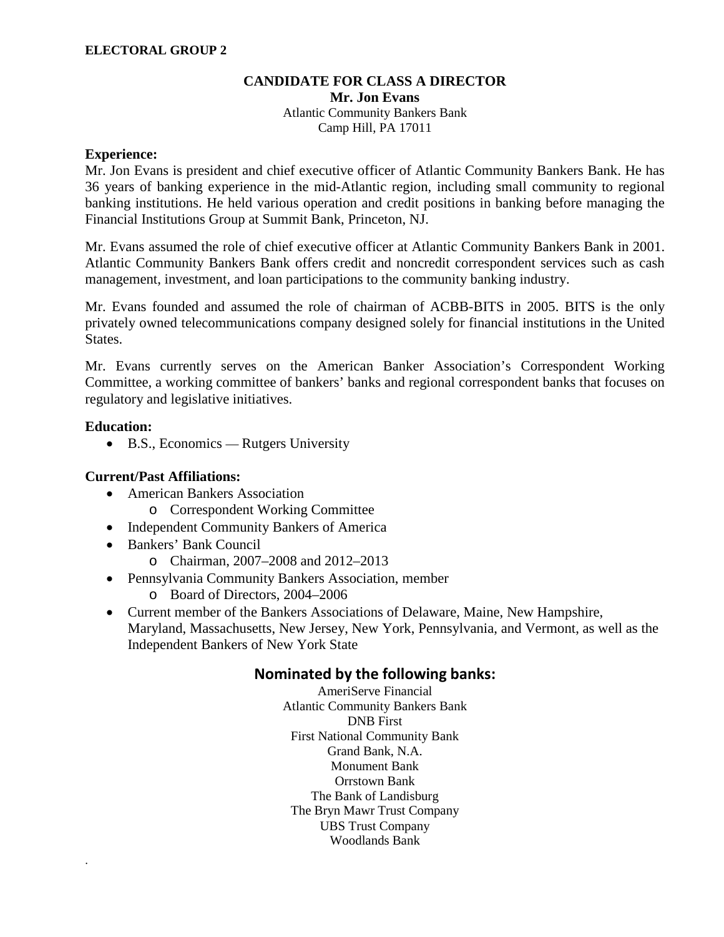## **CANDIDATE FOR CLASS A DIRECTOR**

**Mr. Jon Evans** Atlantic Community Bankers Bank Camp Hill, PA 17011

### **Experience:**

Mr. Jon Evans is president and chief executive officer of Atlantic Community Bankers Bank. He has 36 years of banking experience in the mid-Atlantic region, including small community to regional banking institutions. He held various operation and credit positions in banking before managing the Financial Institutions Group at Summit Bank, Princeton, NJ.

Mr. Evans assumed the role of chief executive officer at Atlantic Community Bankers Bank in 2001. Atlantic Community Bankers Bank offers credit and noncredit correspondent services such as cash management, investment, and loan participations to the community banking industry.

Mr. Evans founded and assumed the role of chairman of ACBB-BITS in 2005. BITS is the only privately owned telecommunications company designed solely for financial institutions in the United States.

Mr. Evans currently serves on the American Banker Association's Correspondent Working Committee, a working committee of bankers' banks and regional correspondent banks that focuses on regulatory and legislative initiatives.

## **Education:**

.

• B.S., Economics — Rutgers University

## **Current/Past Affiliations:**

- American Bankers Association
	- o Correspondent Working Committee
- Independent Community Bankers of America
- Bankers' Bank Council
	- o Chairman, 2007–2008 and 2012–2013
- Pennsylvania Community Bankers Association, member
	- o Board of Directors, 2004–2006
- Current member of the Bankers Associations of Delaware, Maine, New Hampshire, Maryland, Massachusetts, New Jersey, New York, Pennsylvania, and Vermont, as well as the Independent Bankers of New York State

# **Nominated by the following banks:**

AmeriServe Financial Atlantic Community Bankers Bank DNB First First National Community Bank Grand Bank, N.A. Monument Bank Orrstown Bank The Bank of Landisburg The Bryn Mawr Trust Company UBS Trust Company Woodlands Bank